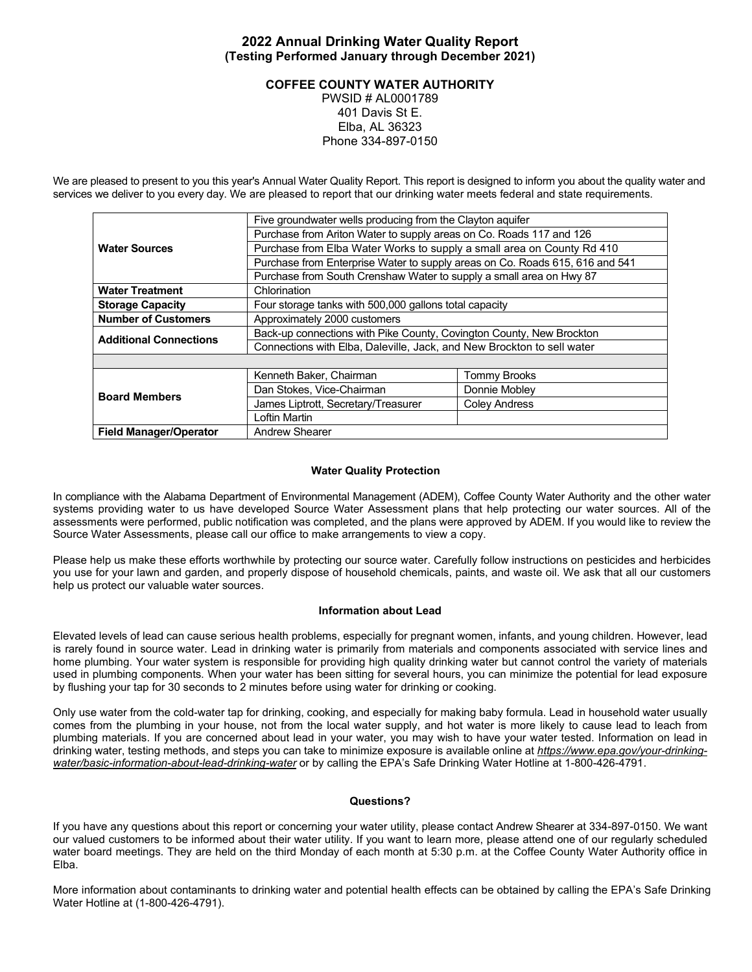# **2022 Annual Drinking Water Quality Report (Testing Performed January through December 2021)**

# **COFFEE COUNTY WATER AUTHORITY**

PWSID # AL0001789 401 Davis St E. Elba, AL 36323 Phone 334-897-0150

We are pleased to present to you this year's Annual Water Quality Report. This report is designed to inform you about the quality water and services we deliver to you every day. We are pleased to report that our drinking water meets federal and state requirements.

|                               | Five groundwater wells producing from the Clayton aquifer                    |                      |  |  |  |  |  |  |
|-------------------------------|------------------------------------------------------------------------------|----------------------|--|--|--|--|--|--|
|                               | Purchase from Ariton Water to supply areas on Co. Roads 117 and 126          |                      |  |  |  |  |  |  |
| <b>Water Sources</b>          | Purchase from Elba Water Works to supply a small area on County Rd 410       |                      |  |  |  |  |  |  |
|                               | Purchase from Enterprise Water to supply areas on Co. Roads 615, 616 and 541 |                      |  |  |  |  |  |  |
|                               | Purchase from South Crenshaw Water to supply a small area on Hwy 87          |                      |  |  |  |  |  |  |
| <b>Water Treatment</b>        | Chlorination                                                                 |                      |  |  |  |  |  |  |
| <b>Storage Capacity</b>       | Four storage tanks with 500,000 gallons total capacity                       |                      |  |  |  |  |  |  |
| <b>Number of Customers</b>    | Approximately 2000 customers                                                 |                      |  |  |  |  |  |  |
| <b>Additional Connections</b> | Back-up connections with Pike County, Covington County, New Brockton         |                      |  |  |  |  |  |  |
|                               | Connections with Elba, Daleville, Jack, and New Brockton to sell water       |                      |  |  |  |  |  |  |
|                               |                                                                              |                      |  |  |  |  |  |  |
|                               | Kenneth Baker, Chairman                                                      | <b>Tommy Brooks</b>  |  |  |  |  |  |  |
| <b>Board Members</b>          | Dan Stokes, Vice-Chairman                                                    | Donnie Mobley        |  |  |  |  |  |  |
|                               | James Liptrott, Secretary/Treasurer                                          | <b>Coley Andress</b> |  |  |  |  |  |  |
|                               | Loftin Martin                                                                |                      |  |  |  |  |  |  |
| <b>Field Manager/Operator</b> | Andrew Shearer                                                               |                      |  |  |  |  |  |  |

### **Water Quality Protection**

In compliance with the Alabama Department of Environmental Management (ADEM), Coffee County Water Authority and the other water systems providing water to us have developed Source Water Assessment plans that help protecting our water sources. All of the assessments were performed, public notification was completed, and the plans were approved by ADEM. If you would like to review the Source Water Assessments, please call our office to make arrangements to view a copy.

Please help us make these efforts worthwhile by protecting our source water. Carefully follow instructions on pesticides and herbicides you use for your lawn and garden, and properly dispose of household chemicals, paints, and waste oil. We ask that all our customers help us protect our valuable water sources.

### **Information about Lead**

Elevated levels of lead can cause serious health problems, especially for pregnant women, infants, and young children. However, lead is rarely found in source water. Lead in drinking water is primarily from materials and components associated with service lines and home plumbing. Your water system is responsible for providing high quality drinking water but cannot control the variety of materials used in plumbing components. When your water has been sitting for several hours, you can minimize the potential for lead exposure by flushing your tap for 30 seconds to 2 minutes before using water for drinking or cooking.

Only use water from the cold-water tap for drinking, cooking, and especially for making baby formula. Lead in household water usually comes from the plumbing in your house, not from the local water supply, and hot water is more likely to cause lead to leach from plumbing materials. If you are concerned about lead in your water, you may wish to have your water tested. Information on lead in drinking water, testing methods, and steps you can take to minimize exposure is available online at *https://www.epa.gov/your-drinkingwater/basic-information-about-lead-drinking-water* or by calling the EPA's Safe Drinking Water Hotline at 1-800-426-4791.

#### **Questions?**

If you have any questions about this report or concerning your water utility, please contact Andrew Shearer at 334-897-0150. We want our valued customers to be informed about their water utility. If you want to learn more, please attend one of our regularly scheduled water board meetings. They are held on the third Monday of each month at 5:30 p.m. at the Coffee County Water Authority office in Elba.

More information about contaminants to drinking water and potential health effects can be obtained by calling the EPA's Safe Drinking Water Hotline at (1-800-426-4791).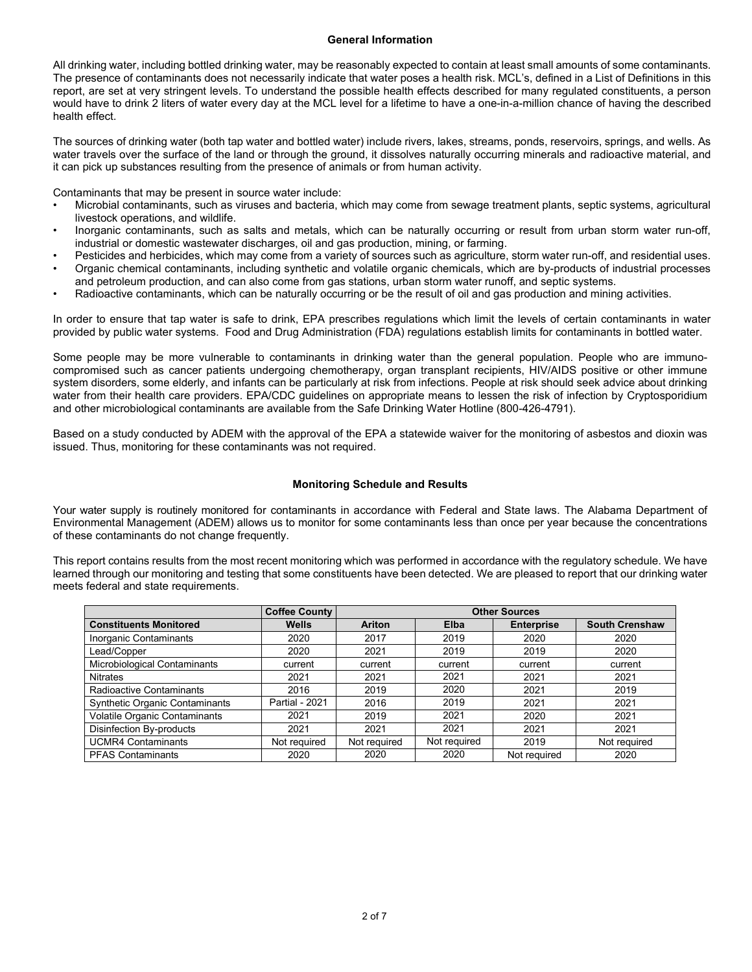# **General Information**

All drinking water, including bottled drinking water, may be reasonably expected to contain at least small amounts of some contaminants. The presence of contaminants does not necessarily indicate that water poses a health risk. MCL's, defined in a List of Definitions in this report, are set at very stringent levels. To understand the possible health effects described for many regulated constituents, a person would have to drink 2 liters of water every day at the MCL level for a lifetime to have a one-in-a-million chance of having the described health effect.

The sources of drinking water (both tap water and bottled water) include rivers, lakes, streams, ponds, reservoirs, springs, and wells. As water travels over the surface of the land or through the ground, it dissolves naturally occurring minerals and radioactive material, and it can pick up substances resulting from the presence of animals or from human activity.

Contaminants that may be present in source water include:

- Microbial contaminants, such as viruses and bacteria, which may come from sewage treatment plants, septic systems, agricultural livestock operations, and wildlife.
- Inorganic contaminants, such as salts and metals, which can be naturally occurring or result from urban storm water run-off, industrial or domestic wastewater discharges, oil and gas production, mining, or farming.
- Pesticides and herbicides, which may come from a variety of sources such as agriculture, storm water run-off, and residential uses. • Organic chemical contaminants, including synthetic and volatile organic chemicals, which are by-products of industrial processes and petroleum production, and can also come from gas stations, urban storm water runoff, and septic systems.
- Radioactive contaminants, which can be naturally occurring or be the result of oil and gas production and mining activities.

In order to ensure that tap water is safe to drink, EPA prescribes regulations which limit the levels of certain contaminants in water provided by public water systems. Food and Drug Administration (FDA) regulations establish limits for contaminants in bottled water.

Some people may be more vulnerable to contaminants in drinking water than the general population. People who are immunocompromised such as cancer patients undergoing chemotherapy, organ transplant recipients, HIV/AIDS positive or other immune system disorders, some elderly, and infants can be particularly at risk from infections. People at risk should seek advice about drinking water from their health care providers. EPA/CDC guidelines on appropriate means to lessen the risk of infection by Cryptosporidium and other microbiological contaminants are available from the Safe Drinking Water Hotline (800-426-4791).

Based on a study conducted by ADEM with the approval of the EPA a statewide waiver for the monitoring of asbestos and dioxin was issued. Thus, monitoring for these contaminants was not required.

# **Monitoring Schedule and Results**

Your water supply is routinely monitored for contaminants in accordance with Federal and State laws. The Alabama Department of Environmental Management (ADEM) allows us to monitor for some contaminants less than once per year because the concentrations of these contaminants do not change frequently.

This report contains results from the most recent monitoring which was performed in accordance with the regulatory schedule. We have learned through our monitoring and testing that some constituents have been detected. We are pleased to report that our drinking water meets federal and state requirements.

|                                       | <b>Coffee County</b>  | <b>Other Sources</b> |              |                   |                       |  |  |
|---------------------------------------|-----------------------|----------------------|--------------|-------------------|-----------------------|--|--|
| <b>Constituents Monitored</b>         | <b>Wells</b>          | Ariton               | Elba         | <b>Enterprise</b> | <b>South Crenshaw</b> |  |  |
| Inorganic Contaminants                | 2020                  | 2017                 | 2019         | 2020              | 2020                  |  |  |
| Lead/Copper                           | 2020                  | 2021                 | 2019         | 2019              | 2020                  |  |  |
| Microbiological Contaminants          | current               | current              | current      | current           | current               |  |  |
| <b>Nitrates</b>                       | 2021                  | 2021                 | 2021         | 2021              | 2021                  |  |  |
| Radioactive Contaminants              | 2016                  | 2019                 | 2020         | 2021              | 2019                  |  |  |
| <b>Synthetic Organic Contaminants</b> | <b>Partial - 2021</b> | 2016                 | 2019         | 2021              | 2021                  |  |  |
| Volatile Organic Contaminants         | 2021                  | 2019                 | 2021         | 2020              | 2021                  |  |  |
| Disinfection By-products              | 2021                  | 2021                 | 2021         | 2021              | 2021                  |  |  |
| <b>UCMR4 Contaminants</b>             | Not required          | Not required         | Not required | 2019              | Not required          |  |  |
| <b>PFAS Contaminants</b>              | 2020                  | 2020                 | 2020         | Not required      | 2020                  |  |  |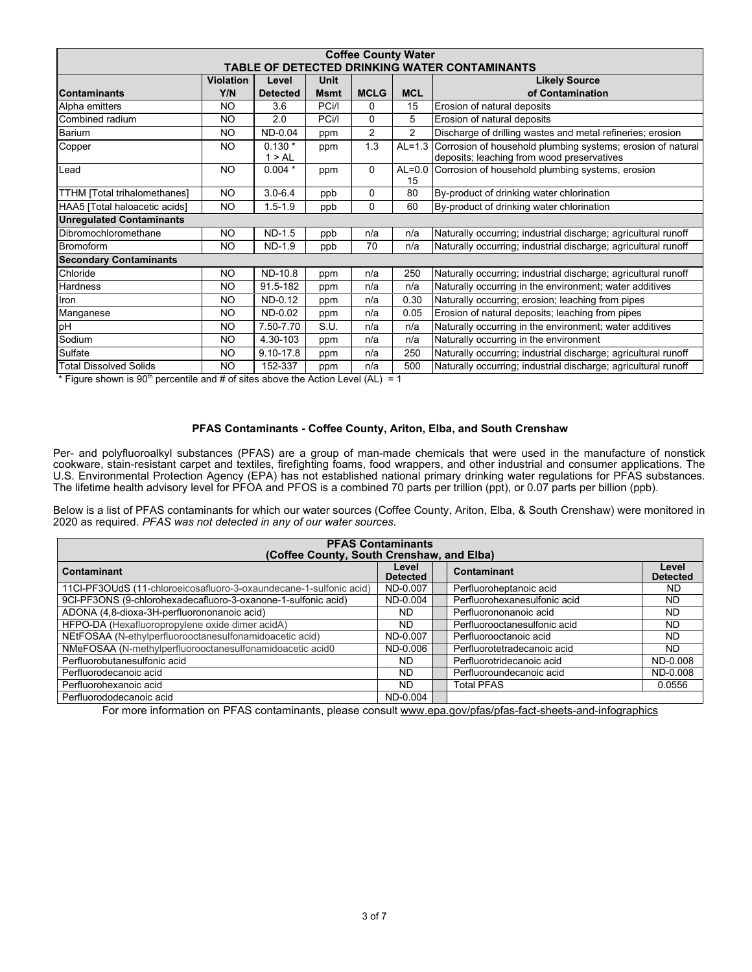| <b>Coffee County Water</b>                    |                  |                    |             |                |                |                                                                                                           |  |  |  |  |
|-----------------------------------------------|------------------|--------------------|-------------|----------------|----------------|-----------------------------------------------------------------------------------------------------------|--|--|--|--|
| TABLE OF DETECTED DRINKING WATER CONTAMINANTS |                  |                    |             |                |                |                                                                                                           |  |  |  |  |
|                                               | <b>Violation</b> | Level              | Unit        |                |                | <b>Likely Source</b>                                                                                      |  |  |  |  |
| <b>Contaminants</b>                           | Y/N              | <b>Detected</b>    | <b>Msmt</b> | <b>MCLG</b>    | <b>MCL</b>     | of Contamination                                                                                          |  |  |  |  |
| Alpha emitters                                | NO.              | 3.6                | PCi/I       | 0              | 15             | Erosion of natural deposits                                                                               |  |  |  |  |
| Combined radium                               | NO.              | 2.0                | PCi/l       | $\Omega$       | 5              | Erosion of natural deposits                                                                               |  |  |  |  |
| Barium                                        | NO.              | ND-0.04            | ppm         | $\overline{2}$ | $\overline{2}$ | Discharge of drilling wastes and metal refineries; erosion                                                |  |  |  |  |
| Copper                                        | NO.              | $0.130*$<br>1 > AL | ppm         | 1.3            | $AL=1.3$       | Corrosion of household plumbing systems; erosion of natural<br>deposits; leaching from wood preservatives |  |  |  |  |
| Lead                                          | NO.              | $0.004*$           | ppm         | $\mathbf 0$    | 15             | AL=0.0 Corrosion of household plumbing systems, erosion                                                   |  |  |  |  |
| TTHM [Total trihalomethanes]                  | NO.              | $3.0 - 6.4$        | ppb         | 0              | 80             | By-product of drinking water chlorination                                                                 |  |  |  |  |
| HAA5 [Total haloacetic acids]                 | NO.              | $1.5 - 1.9$        | ppb         | $\Omega$       | 60             | By-product of drinking water chlorination                                                                 |  |  |  |  |
| <b>Unregulated Contaminants</b>               |                  |                    |             |                |                |                                                                                                           |  |  |  |  |
| Dibromochloromethane                          | NO.              | ND-1.5             | ppb         | n/a            | n/a            | Naturally occurring; industrial discharge; agricultural runoff                                            |  |  |  |  |
| Bromoform                                     | NO.              | ND-1.9             | ppb         | 70             | n/a            | Naturally occurring; industrial discharge; agricultural runoff                                            |  |  |  |  |
| <b>Secondary Contaminants</b>                 |                  |                    |             |                |                |                                                                                                           |  |  |  |  |
| Chloride                                      | NO.              | <b>ND-10.8</b>     | ppm         | n/a            | 250            | Naturally occurring; industrial discharge; agricultural runoff                                            |  |  |  |  |
| <b>Hardness</b>                               | NO.              | 91.5-182           | ppm         | n/a            | n/a            | Naturally occurring in the environment; water additives                                                   |  |  |  |  |
| Iron                                          | <b>NO</b>        | ND-0.12            | ppm         | n/a            | 0.30           | Naturally occurring; erosion; leaching from pipes                                                         |  |  |  |  |
| Manganese                                     | NO.              | ND-0.02            | ppm         | n/a            | 0.05           | Erosion of natural deposits; leaching from pipes                                                          |  |  |  |  |
| pH                                            | NO.              | 7.50-7.70          | S.U.        | n/a            | n/a            | Naturally occurring in the environment; water additives                                                   |  |  |  |  |
| Sodium                                        | NO.              | 4.30-103           | ppm         | n/a            | n/a            | Naturally occurring in the environment                                                                    |  |  |  |  |
| Sulfate                                       | <b>NO</b>        | 9.10-17.8          | ppm         | n/a            | 250            | Naturally occurring; industrial discharge; agricultural runoff                                            |  |  |  |  |
| <b>Total Dissolved Solids</b>                 | NO.              | 152-337            | ppm         | n/a            | 500            | Naturally occurring; industrial discharge; agricultural runoff                                            |  |  |  |  |

\* Figure shown is 90<sup>th</sup> percentile and # of sites above the Action Level (AL) = 1

# **PFAS Contaminants - Coffee County, Ariton, Elba, and South Crenshaw**

Per- and polyfluoroalkyl substances (PFAS) are a group of man-made chemicals that were used in the manufacture of nonstick cookware, stain-resistant carpet and textiles, firefighting foams, food wrappers, and other industrial and consumer applications. The U.S. Environmental Protection Agency (EPA) has not established national primary drinking water regulations for PFAS substances. The lifetime health advisory level for PFOA and PFOS is a combined 70 parts per trillion (ppt), or 0.07 parts per billion (ppb).

Below is a list of PFAS contaminants for which our water sources (Coffee County, Ariton, Elba, & South Crenshaw) were monitored in 2020 as required. *PFAS was not detected in any of our water sources.*

| <b>PFAS Contaminants</b><br>(Coffee County, South Crenshaw, and Elba) |                          |             |                              |                          |  |  |  |  |  |
|-----------------------------------------------------------------------|--------------------------|-------------|------------------------------|--------------------------|--|--|--|--|--|
| Contaminant                                                           | Level<br><b>Detected</b> | Contaminant |                              | Level<br><b>Detected</b> |  |  |  |  |  |
| 11CI-PF3OUdS (11-chloroeicosafluoro-3-oxaundecane-1-sulfonic acid)    | ND-0.007                 |             | Perfluoroheptanoic acid      | ND.                      |  |  |  |  |  |
| 9CI-PF3ONS (9-chlorohexadecafluoro-3-oxanone-1-sulfonic acid)         | ND-0.004                 |             | Perfluorohexanesulfonic acid | <b>ND</b>                |  |  |  |  |  |
| ADONA (4,8-dioxa-3H-perfluorononanoic acid)                           | ND                       |             | Perfluorononanoic acid       | ND.                      |  |  |  |  |  |
| HFPO-DA (Hexafluoropropylene oxide dimer acidA)                       | <b>ND</b>                |             | Perfluorooctanesulfonic acid | ND.                      |  |  |  |  |  |
| NEtFOSAA (N-ethylperfluorooctanesulfonamidoacetic acid)               | ND-0.007                 |             | Perfluorooctanoic acid       | ND.                      |  |  |  |  |  |
| NMeFOSAA (N-methylperfluorooctanesulfonamidoacetic acid0              | ND-0.006                 |             | Perfluorotetradecanoic acid  | ND.                      |  |  |  |  |  |
| Perfluorobutanesulfonic acid                                          | <b>ND</b>                |             | Perfluorotridecanoic acid    | ND-0.008                 |  |  |  |  |  |
| Perfluorodecanoic acid                                                | <b>ND</b>                |             | Perfluoroundecanoic acid     | ND-0.008                 |  |  |  |  |  |
| Perfluorohexanoic acid                                                | ND                       | Total PFAS  |                              | 0.0556                   |  |  |  |  |  |
| Perfluorododecanoic acid                                              | ND-0.004                 |             |                              |                          |  |  |  |  |  |

For more information on PFAS contaminants, please consult www.epa.gov/pfas/pfas-fact-sheets-and-infographics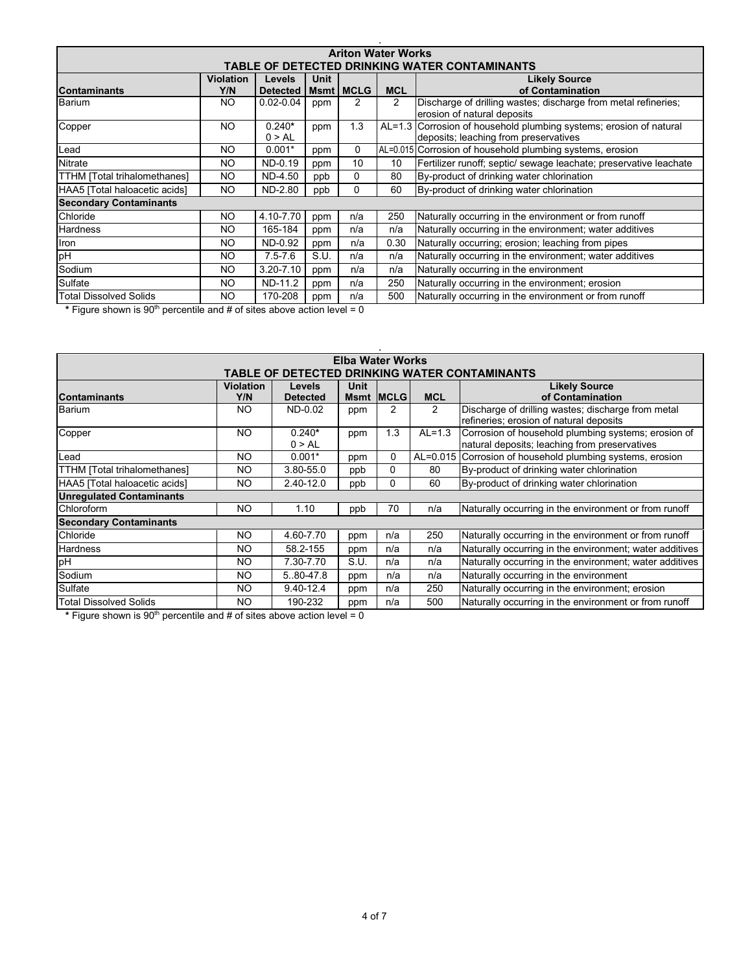| <b>Ariton Water Works</b>                                                                                                                                                         |     |                    |      |          |                |                                                                                                             |  |  |  |  |
|-----------------------------------------------------------------------------------------------------------------------------------------------------------------------------------|-----|--------------------|------|----------|----------------|-------------------------------------------------------------------------------------------------------------|--|--|--|--|
| TABLE OF DETECTED DRINKING WATER CONTAMINANTS                                                                                                                                     |     |                    |      |          |                |                                                                                                             |  |  |  |  |
| <b>Violation</b><br><b>Unit</b><br><b>Likely Source</b><br><b>Levels</b><br><b>MCL</b><br>of Contamination<br><b>Msmt   MCLG</b><br><b>Contaminants</b><br>Y/N<br><b>Detected</b> |     |                    |      |          |                |                                                                                                             |  |  |  |  |
| Barium                                                                                                                                                                            | NO. | $0.02 - 0.04$      | ppm  | 2        | $\overline{2}$ | Discharge of drilling wastes; discharge from metal refineries;<br>erosion of natural deposits               |  |  |  |  |
| Copper                                                                                                                                                                            | NO. | $0.240*$<br>0 > AL | ppm  | 1.3      |                | AL=1.3 Corrosion of household plumbing systems; erosion of natural<br>deposits; leaching from preservatives |  |  |  |  |
| Lead                                                                                                                                                                              | NO. | $0.001*$           | ppm  | 0        |                | AL=0.015 Corrosion of household plumbing systems, erosion                                                   |  |  |  |  |
| <b>Nitrate</b>                                                                                                                                                                    | NO. | ND-0.19            | ppm  | 10       | 10             | Fertilizer runoff; septic/ sewage leachate; preservative leachate                                           |  |  |  |  |
| TTHM [Total trihalomethanes]                                                                                                                                                      | NO. | ND-4.50            | ppb  | $\Omega$ | 80             | By-product of drinking water chlorination                                                                   |  |  |  |  |
| HAA5 [Total haloacetic acids]                                                                                                                                                     | NO. | ND-2.80            | ppb  | $\Omega$ | 60             | By-product of drinking water chlorination                                                                   |  |  |  |  |
| <b>Secondary Contaminants</b>                                                                                                                                                     |     |                    |      |          |                |                                                                                                             |  |  |  |  |
| Chloride                                                                                                                                                                          | NO. | 4.10-7.70          | ppm  | n/a      | 250            | Naturally occurring in the environment or from runoff                                                       |  |  |  |  |
| <b>Hardness</b>                                                                                                                                                                   | NO. | 165-184            | ppm  | n/a      | n/a            | Naturally occurring in the environment; water additives                                                     |  |  |  |  |
| Iron                                                                                                                                                                              | NO. | ND-0.92            | ppm  | n/a      | 0.30           | Naturally occurring; erosion; leaching from pipes                                                           |  |  |  |  |
| pH                                                                                                                                                                                | NO. | $7.5 - 7.6$        | S.U. | n/a      | n/a            | Naturally occurring in the environment; water additives                                                     |  |  |  |  |
| Sodium                                                                                                                                                                            | NO. | $3.20 - 7.10$      | ppm  | n/a      | n/a            | Naturally occurring in the environment                                                                      |  |  |  |  |
| Sulfate                                                                                                                                                                           | NO. | ND-11.2            | ppm  | n/a      | 250            | Naturally occurring in the environment; erosion                                                             |  |  |  |  |
| <b>Total Dissolved Solids</b>                                                                                                                                                     | NO. | 170-208            | ppm  | n/a      | 500            | Naturally occurring in the environment or from runoff                                                       |  |  |  |  |

\* Figure shown is 90<sup>th</sup> percentile and # of sites above action level = 0

| <b>Elba Water Works</b>                                                                                                                                                             |     |                    |      |          |              |                                                                                                      |  |  |  |
|-------------------------------------------------------------------------------------------------------------------------------------------------------------------------------------|-----|--------------------|------|----------|--------------|------------------------------------------------------------------------------------------------------|--|--|--|
| TABLE OF DETECTED DRINKING WATER CONTAMINANTS                                                                                                                                       |     |                    |      |          |              |                                                                                                      |  |  |  |
| <b>Unit</b><br><b>Violation</b><br><b>Likely Source</b><br><b>Levels</b><br><b>IMCLG</b><br>of Contamination<br><b>MCL</b><br><b>Contaminants</b><br>Y/N<br><b>Detected</b><br>Msmt |     |                    |      |          |              |                                                                                                      |  |  |  |
| Barium                                                                                                                                                                              | NO. | ND-0.02            | ppm  | 2        | 2            | Discharge of drilling wastes; discharge from metal<br>refineries; erosion of natural deposits        |  |  |  |
| Copper                                                                                                                                                                              | NO. | $0.240*$<br>0 > AL | ppm  | 1.3      | $AL=1.3$     | Corrosion of household plumbing systems; erosion of<br>natural deposits; leaching from preservatives |  |  |  |
| Lead                                                                                                                                                                                | NO. | $0.001*$           | ppm  | $\Omega$ | $AL = 0.015$ | Corrosion of household plumbing systems, erosion                                                     |  |  |  |
| TTHM [Total trihalomethanes]                                                                                                                                                        | NO. | 3.80-55.0          | ppb  | 0        | 80           | By-product of drinking water chlorination                                                            |  |  |  |
| HAA5 [Total haloacetic acids]                                                                                                                                                       | NO. | 2.40-12.0          | ppb  | 0        | 60           | By-product of drinking water chlorination                                                            |  |  |  |
| <b>Unregulated Contaminants</b>                                                                                                                                                     |     |                    |      |          |              |                                                                                                      |  |  |  |
| <b>Chloroform</b>                                                                                                                                                                   | NO. | 1.10               | ppb  | 70       | n/a          | Naturally occurring in the environment or from runoff                                                |  |  |  |
| <b>Secondary Contaminants</b>                                                                                                                                                       |     |                    |      |          |              |                                                                                                      |  |  |  |
| Chloride                                                                                                                                                                            | NO. | 4.60-7.70          | ppm  | n/a      | 250          | Naturally occurring in the environment or from runoff                                                |  |  |  |
| <b>Hardness</b>                                                                                                                                                                     | NO. | 58.2-155           | ppm  | n/a      | n/a          | Naturally occurring in the environment; water additives                                              |  |  |  |
| pH                                                                                                                                                                                  | NO. | 7.30-7.70          | S.U. | n/a      | n/a          | Naturally occurring in the environment; water additives                                              |  |  |  |
| Sodium                                                                                                                                                                              | NO. | 5.80-47.8          | ppm  | n/a      | n/a          | Naturally occurring in the environment                                                               |  |  |  |
| Sulfate                                                                                                                                                                             | NO. | $9.40 - 12.4$      | ppm  | n/a      | 250          | Naturally occurring in the environment; erosion                                                      |  |  |  |
| Total Dissolved Solids                                                                                                                                                              | NO. | 190-232            | ppm  | n/a      | 500          | Naturally occurring in the environment or from runoff                                                |  |  |  |

\* Figure shown is 90<sup>th</sup> percentile and # of sites above action level = 0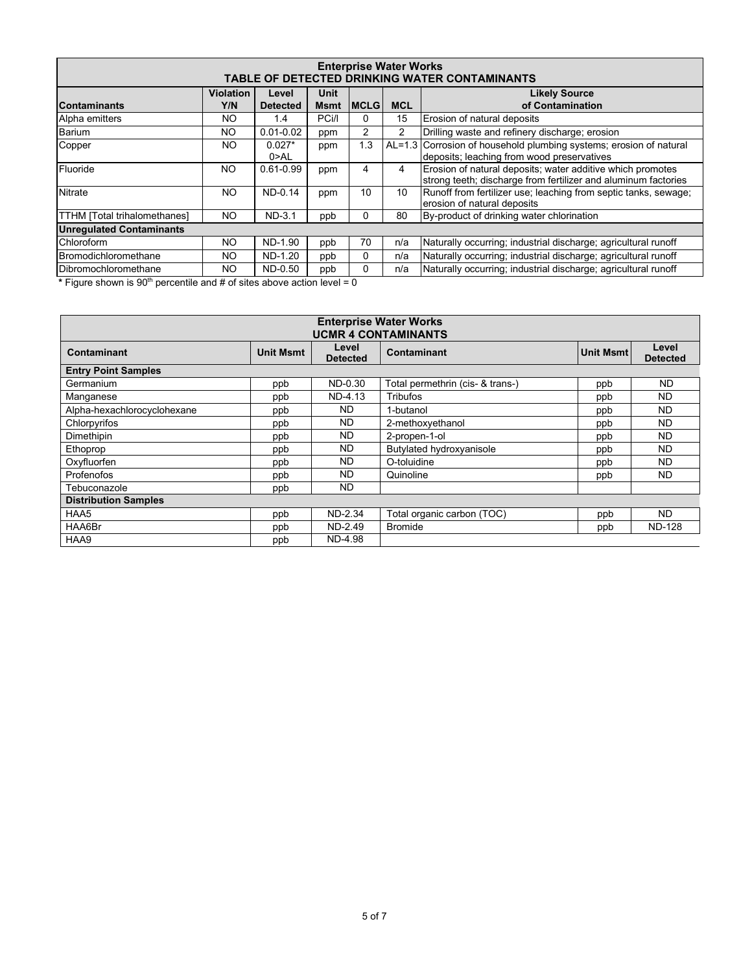| <b>Enterprise Water Works</b><br>TABLE OF DETECTED DRINKING WATER CONTAMINANTS |           |                  |             |              |            |                                                                                                                              |  |  |  |
|--------------------------------------------------------------------------------|-----------|------------------|-------------|--------------|------------|------------------------------------------------------------------------------------------------------------------------------|--|--|--|
| <b>Unit</b><br><b>Violation</b><br><b>Likely Source</b><br>Level               |           |                  |             |              |            |                                                                                                                              |  |  |  |
| <b>Contaminants</b>                                                            | Y/N       | <b>Detected</b>  | <b>Msmt</b> | <b>IMCLG</b> | <b>MCL</b> | of Contamination                                                                                                             |  |  |  |
| Alpha emitters                                                                 | NO.       | 1.4              | PCi/I       | 0            | 15         | Erosion of natural deposits                                                                                                  |  |  |  |
| Barium                                                                         | NO.       | $0.01 - 0.02$    | ppm         | 2            | 2          | Drilling waste and refinery discharge; erosion                                                                               |  |  |  |
| Copper                                                                         | <b>NO</b> | $0.027*$<br>0>AL | ppm         | 1.3          |            | AL=1.3 Corrosion of household plumbing systems; erosion of natural<br>deposits; leaching from wood preservatives             |  |  |  |
| Fluoride                                                                       | <b>NO</b> | $0.61 - 0.99$    | ppm         | 4            | 4          | Erosion of natural deposits; water additive which promotes<br>strong teeth; discharge from fertilizer and aluminum factories |  |  |  |
| <b>Nitrate</b>                                                                 | <b>NO</b> | ND-0.14          | ppm         | 10           | 10         | Runoff from fertilizer use; leaching from septic tanks, sewage;<br>erosion of natural deposits                               |  |  |  |
| <b>TTHM</b> [Total trihalomethanes]                                            | NO.       | $ND-3.1$         | ppb         | 0            | 80         | By-product of drinking water chlorination                                                                                    |  |  |  |
| <b>Unregulated Contaminants</b>                                                |           |                  |             |              |            |                                                                                                                              |  |  |  |
| Chloroform                                                                     | ΝO        | ND-1.90          | ppb         | 70           | n/a        | Naturally occurring; industrial discharge; agricultural runoff                                                               |  |  |  |
| Bromodichloromethane                                                           | NO.       | ND-1.20          | ppb         | 0            | n/a        | Naturally occurring; industrial discharge; agricultural runoff                                                               |  |  |  |
| <b>IDibromochloromethane</b>                                                   | NO.       | ND-0.50          | ppb         | 0            | n/a        | Naturally occurring; industrial discharge; agricultural runoff                                                               |  |  |  |

\* Figure shown is 90<sup>th</sup> percentile and # of sites above action level = 0

| <b>Enterprise Water Works</b><br><b>UCMR 4 CONTAMINANTS</b> |                  |                          |                                  |                  |                          |  |  |  |  |
|-------------------------------------------------------------|------------------|--------------------------|----------------------------------|------------------|--------------------------|--|--|--|--|
| Contaminant                                                 | <b>Unit Msmt</b> | Level<br><b>Detected</b> | Contaminant                      | <b>Unit Msmt</b> | Level<br><b>Detected</b> |  |  |  |  |
| <b>Entry Point Samples</b>                                  |                  |                          |                                  |                  |                          |  |  |  |  |
| Germanium                                                   | ppb              | ND-0.30                  | Total permethrin (cis- & trans-) | ppb              | ND.                      |  |  |  |  |
| Manganese                                                   | ppb              | ND-4.13                  | Tribufos                         | ppb              | <b>ND</b>                |  |  |  |  |
| Alpha-hexachlorocyclohexane                                 | ppb              | <b>ND</b>                | 1-butanol                        | ppb              | <b>ND</b>                |  |  |  |  |
| Chlorpyrifos                                                | ppb              | <b>ND</b>                | 2-methoxyethanol                 | ppb              | <b>ND</b>                |  |  |  |  |
| <b>Dimethipin</b>                                           | ppb              | <b>ND</b>                | 2-propen-1-ol                    | ppb              | <b>ND</b>                |  |  |  |  |
| Ethoprop                                                    | ppb              | ND                       | Butylated hydroxyanisole         | ppb              | <b>ND</b>                |  |  |  |  |
| Oxyfluorfen                                                 | ppb              | <b>ND</b>                | O-toluidine                      | ppb              | <b>ND</b>                |  |  |  |  |
| Profenofos                                                  | ppb              | <b>ND</b>                | Quinoline                        | ppb              | ND.                      |  |  |  |  |
| Tebuconazole                                                | ppb              | <b>ND</b>                |                                  |                  |                          |  |  |  |  |
| <b>Distribution Samples</b>                                 |                  |                          |                                  |                  |                          |  |  |  |  |
| HAA5                                                        | ppb              | ND-2.34                  | Total organic carbon (TOC)       | ppb              | ND.                      |  |  |  |  |
| HAA6Br                                                      | ppb              | ND-2.49                  | <b>Bromide</b>                   | ppb              | <b>ND-128</b>            |  |  |  |  |
| HAA9                                                        | ppb              | ND-4.98                  |                                  |                  |                          |  |  |  |  |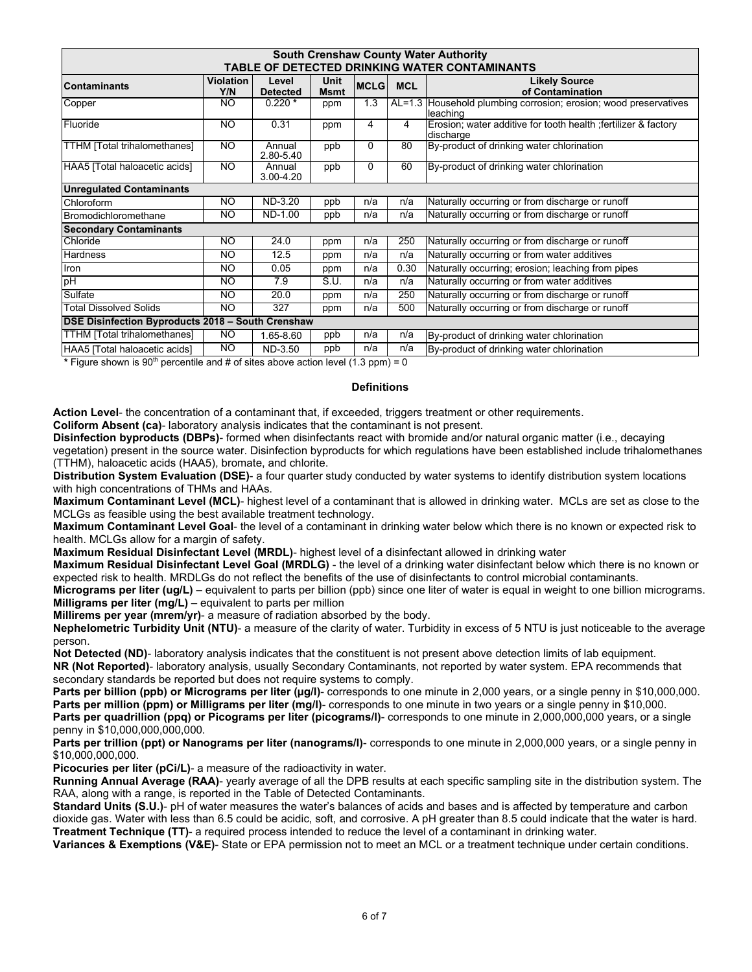| <b>South Crenshaw County Water Authority</b><br>TABLE OF DETECTED DRINKING WATER CONTAMINANTS |                         |                          |                     |             |            |                                                                              |  |  |  |
|-----------------------------------------------------------------------------------------------|-------------------------|--------------------------|---------------------|-------------|------------|------------------------------------------------------------------------------|--|--|--|
| Contaminants                                                                                  | <b>Violation</b><br>Y/N | Level<br><b>Detected</b> | Unit<br><b>Msmt</b> | <b>MCLG</b> | <b>MCL</b> | <b>Likely Source</b><br>of Contamination                                     |  |  |  |
| Copper                                                                                        | NO.                     | $0.220*$                 | ppm                 | 1.3         |            | AL=1.3 Household plumbing corrosion; erosion; wood preservatives<br>leaching |  |  |  |
| Fluoride                                                                                      | NO.                     | 0.31                     | ppm                 | 4           | 4          | Erosion; water additive for tooth health ; fertilizer & factory<br>discharge |  |  |  |
| <b>TTHM</b> [Total trihalomethanes]                                                           | NO.                     | Annual<br>2.80-5.40      | ppb                 | 0           | 80         | By-product of drinking water chlorination                                    |  |  |  |
| HAA5 [Total haloacetic acids]                                                                 | NO.                     | Annual<br>3.00-4.20      | ppb                 | 0           | 60         | By-product of drinking water chlorination                                    |  |  |  |
| <b>Unregulated Contaminants</b>                                                               |                         |                          |                     |             |            |                                                                              |  |  |  |
| Chloroform                                                                                    | ΝO                      | ND-3.20                  | ppb                 | n/a         | n/a        | Naturally occurring or from discharge or runoff                              |  |  |  |
| Bromodichloromethane                                                                          | NO.                     | ND-1.00                  | ppb                 | n/a         | n/a        | Naturally occurring or from discharge or runoff                              |  |  |  |
| <b>Secondary Contaminants</b>                                                                 |                         |                          |                     |             |            |                                                                              |  |  |  |
| Chloride                                                                                      | NO.                     | 24.0                     | ppm                 | n/a         | 250        | Naturally occurring or from discharge or runoff                              |  |  |  |
| Hardness                                                                                      | NO.                     | 12.5                     | ppm                 | n/a         | n/a        | Naturally occurring or from water additives                                  |  |  |  |
| Iron                                                                                          | NO.                     | 0.05                     | ppm                 | n/a         | 0.30       | Naturally occurring; erosion; leaching from pipes                            |  |  |  |
| pH                                                                                            | NO.                     | 7.9                      | S.U.                | n/a         | n/a        | Naturally occurring or from water additives                                  |  |  |  |
| Sulfate                                                                                       | NO.                     | 20.0                     | ppm                 | n/a         | 250        | Naturally occurring or from discharge or runoff                              |  |  |  |
| <b>Total Dissolved Solids</b>                                                                 | NO.                     | 327                      | ppm                 | n/a         | 500        | Naturally occurring or from discharge or runoff                              |  |  |  |
| DSE Disinfection Byproducts 2018 - South Crenshaw                                             |                         |                          |                     |             |            |                                                                              |  |  |  |
| TTHM [Total trihalomethanes]                                                                  | NO.                     | 1.65-8.60                | ppb                 | n/a         | n/a        | By-product of drinking water chlorination                                    |  |  |  |
| HAA5 [Total haloacetic acids]                                                                 | NO.                     | ND-3.50                  | ppb                 | n/a         | n/a        | By-product of drinking water chlorination                                    |  |  |  |
| * Eigure shown is $\Omega O^{th}$ persentile and # of sites above action level (1.3 npm) = 0  |                         |                          |                     |             |            |                                                                              |  |  |  |

Figure shown is  $90^{\text{m}}$  percentile and # of sites above action level (1.3 ppm) = 0

#### **Definitions**

**Action Level**- the concentration of a contaminant that, if exceeded, triggers treatment or other requirements.

**Coliform Absent (ca)**- laboratory analysis indicates that the contaminant is not present.

**Disinfection byproducts (DBPs)**- formed when disinfectants react with bromide and/or natural organic matter (i.e., decaying

vegetation) present in the source water. Disinfection byproducts for which regulations have been established include trihalomethanes (TTHM), haloacetic acids (HAA5), bromate, and chlorite.

**Distribution System Evaluation (DSE)**- a four quarter study conducted by water systems to identify distribution system locations with high concentrations of THMs and HAAs.

**Maximum Contaminant Level (MCL)**- highest level of a contaminant that is allowed in drinking water. MCLs are set as close to the MCLGs as feasible using the best available treatment technology.

**Maximum Contaminant Level Goal**- the level of a contaminant in drinking water below which there is no known or expected risk to health. MCLGs allow for a margin of safety.

**Maximum Residual Disinfectant Level (MRDL)**- highest level of a disinfectant allowed in drinking water

**Maximum Residual Disinfectant Level Goal (MRDLG)** - the level of a drinking water disinfectant below which there is no known or expected risk to health. MRDLGs do not reflect the benefits of the use of disinfectants to control microbial contaminants.

**Micrograms per liter (ug/L)** – equivalent to parts per billion (ppb) since one liter of water is equal in weight to one billion micrograms. **Milligrams per liter (mg/L)** – equivalent to parts per million

**Millirems per year (mrem/yr)**- a measure of radiation absorbed by the body.

**Nephelometric Turbidity Unit (NTU)**- a measure of the clarity of water. Turbidity in excess of 5 NTU is just noticeable to the average person.

**Not Detected (ND)**- laboratory analysis indicates that the constituent is not present above detection limits of lab equipment.

**NR (Not Reported)**- laboratory analysis, usually Secondary Contaminants, not reported by water system. EPA recommends that secondary standards be reported but does not require systems to comply.

**Parts per billion (ppb) or Micrograms per liter (µg/l)**- corresponds to one minute in 2,000 years, or a single penny in \$10,000,000. **Parts per million (ppm) or Milligrams per liter (mg/l)**- corresponds to one minute in two years or a single penny in \$10,000. **Parts per quadrillion (ppq) or Picograms per liter (picograms/l)**- corresponds to one minute in 2,000,000,000 years, or a single penny in \$10,000,000,000,000.

**Parts per trillion (ppt) or Nanograms per liter (nanograms/l)**- corresponds to one minute in 2,000,000 years, or a single penny in \$10,000,000,000.

**Picocuries per liter (pCi/L)**- a measure of the radioactivity in water.

**Running Annual Average (RAA)**- yearly average of all the DPB results at each specific sampling site in the distribution system. The RAA, along with a range, is reported in the Table of Detected Contaminants.

**Standard Units (S.U.)**- pH of water measures the water's balances of acids and bases and is affected by temperature and carbon dioxide gas. Water with less than 6.5 could be acidic, soft, and corrosive. A pH greater than 8.5 could indicate that the water is hard. **Treatment Technique (TT)**- a required process intended to reduce the level of a contaminant in drinking water.

**Variances & Exemptions (V&E)**- State or EPA permission not to meet an MCL or a treatment technique under certain conditions.